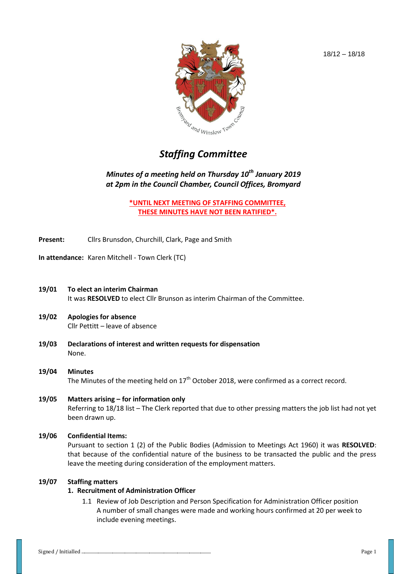

# *Staffing Committee*

# *Minutes of a meeting held on Thursday 10th January 2019 at 2pm in the Council Chamber, Council Offices, Bromyard*

**\*UNTIL NEXT MEETING OF STAFFING COMMITTEE, THESE MINUTES HAVE NOT BEEN RATIFIED\*.**

- **Present:** Cllrs Brunsdon, Churchill, Clark, Page and Smith
- **In attendance:** Karen Mitchell Town Clerk (TC)
- **19/01 To elect an interim Chairman** It was **RESOLVED** to elect Cllr Brunson as interim Chairman of the Committee.
- **19/02 Apologies for absence** Cllr Pettitt – leave of absence
- **19/03 Declarations of interest and written requests for dispensation** None.
- **19/04 Minutes**  The Minutes of the meeting held on  $17<sup>th</sup>$  October 2018, were confirmed as a correct record.
- **19/05 Matters arising – for information only** Referring to 18/18 list – The Clerk reported that due to other pressing matters the job list had not yet been drawn up.

### **19/06 Confidential Items:**

Pursuant to section 1 (2) of the Public Bodies (Admission to Meetings Act 1960) it was **RESOLVED**: that because of the confidential nature of the business to be transacted the public and the press leave the meeting during consideration of the employment matters.

#### **19/07 Staffing matters**

## **1. Recruitment of Administration Officer**

1.1 Review of Job Description and Person Specification for Administration Officer position A number of small changes were made and working hours confirmed at 20 per week to include evening meetings.